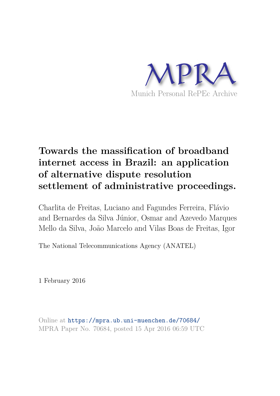

# **Towards the massification of broadband internet access in Brazil: an application of alternative dispute resolution settlement of administrative proceedings.**

Charlita de Freitas, Luciano and Fagundes Ferreira, Flávio and Bernardes da Silva Júnior, Osmar and Azevedo Marques Mello da Silva, João Marcelo and Vilas Boas de Freitas, Igor

The National Telecommunications Agency (ANATEL)

1 February 2016

Online at https://mpra.ub.uni-muenchen.de/70684/ MPRA Paper No. 70684, posted 15 Apr 2016 06:59 UTC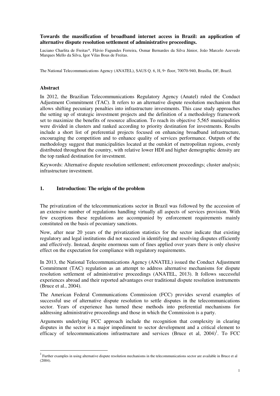### **Towards the massification of broadband internet access in Brazil: an application of alternative dispute resolution settlement of administrative proceedings.**

Luciano Charlita de Freitas\*, Flávio Fagundes Ferreira, Osmar Bernardes da Silva Júnior, João Marcelo Azevedo Marques Mello da Silva, Igor Vilas Boas de Freitas.

The National Telecommunications Agency (ANATEL), SAUS Q. 6, H, 9◦ floor, 70070-940, Brasília, DF, Brazil.

#### **Abstract**

 $\overline{a}$ 

In 2012, the Brazilian Telecommunications Regulatory Agency (Anatel) ruled the Conduct Adjustment Commitment (TAC). It refers to an alternative dispute resolution mechanism that allows shifting pecuniary penalties into infrastructure investments. This case study approaches the setting up of strategic investment projects and the definition of a methodology framework set to maximize the benefits of resource allocation. To reach its objective 5,565 municipalities were divided in clusters and ranked according to priority destination for investments. Results include a short list of preferential projects focused on enhancing broadband infrastructure, encouraging the competition and to enhance quality of services performance. Outputs of the methodology suggest that municipalities located at the outskirt of metropolitan regions, evenly distributed throughout the country, with relative lower HDI and higher demographic density are the top ranked destination for investment.

Keywords: Alternative dispute resolution settlement; enforcement proceedings; cluster analysis; infrastructure investment.

#### **1. Introduction: The origin of the problem**

The privatization of the telecommunications sector in Brazil was followed by the accession of an extensive number of regulations handling virtually all aspects of services provision. With few exceptions these regulations are accompanied by enforcement requirements mainly constituted on the basis of pecuniary sanctions.

Now, after near 20 years of the privatization statistics for the sector indicate that existing regulatory and legal institutions did not succeed in identifying and resolving disputes efficiently and effectively. Instead, despite enormous sum of fines applied over years there is only elusive effect on the expectation for compliance with regulatory requirements.

In 2013, the National Telecommunications Agency (ANATEL) issued the Conduct Adjustment Commitment (TAC) regulation as an attempt to address alternative mechanisms for dispute resolution settlement of administrative proceedings (ANATEL, 2013). It follows successful experiences abroad and their reported advantages over traditional dispute resolution instruments (Bruce et al., 2004).

The American Federal Communications Commission (FCC) provides several examples of successful use of alternative dispute resolution to settle disputes in the telecommunications sector. Years of experience has turned these methods into preferential mechanisms for addressing administrative proceedings and those in which the Commission is a party.

Arguments underlying FCC approach include the recognition that complexity in clearing disputes in the sector is a major impediment to sector development and a critical element to efficacy of telecommunications infrastructure and services (Bruce et al,  $2004$ )<sup>1</sup>. To FCC

 $1$  Further examples in using alternative dispute resolution mechanisms in the telecommunications sector are available in Bruce et al (2004).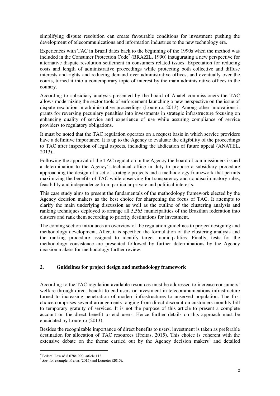simplifying dispute resolution can create favourable conditions for investment pushing the development of telecommunications and information industries to the new technology era.

Experiences with TAC in Brazil dates back to the beginning of the 1990s when the method was included in the Consumer Protection Code<sup>2</sup> (BRAZIL, 1990) inaugurating a new perspective for alternative dispute resolution settlement in consumers related issues. Expectation for reducing costs and length of administrative proceedings while protecting both collective and diffuse interests and rights and reducing demand over administrative offices, and eventually over the courts, turned it into a contemporary topic of interest by the main administrative offices in the country.

According to subsidiary analysis presented by the board of Anatel commissioners the TAC allows modernizing the sector tools of enforcement launching a new perspective on the issue of dispute resolution in administrative proceedings (Loureiro, 2013). Among other innovations it grants for reversing pecuniary penalties into investments in strategic infrastructure focusing on enhancing quality of service and experience of use while assuring compliance of service providers to regulatory obligations.

It must be noted that the TAC regulation operates on a request basis in which service providers have a definitive importance. It is up to the Agency to evaluate the eligibility of the proceedings to TAC after inspection of legal aspects, including the abdication of future appeal (ANATEL, 2013).

Following the approval of the TAC regulation in the Agency the board of commissioners issued a determination to the Agency´s technical office in duty to propose a subsidiary procedure approaching the design of a set of strategic projects and a methodology framework that permits maximizing the benefits of TAC while observing for transparency and nondiscriminatory rules, feasibility and independence from particular private and political interests.

This case study aims to present the fundamentals of the methodology framework elected by the Agency decision makers as the best choice for sharpening the focus of TAC. It attempts to clarify the main underlying discussion as well as the outline of the clustering analysis and ranking techniques deployed to arrange all 5,565 municipalities of the Brazilian federation into clusters and rank them according to priority destinations for investment.

The coming section introduces an overview of the regulation guidelines to project designing and methodology development. After, it is specified the formulation of the clustering analysis and the ranking procedure assigned to identify target municipalities. Finally, tests for the methodology consistence are presented followed by further determinations by the Agency decision makers for methodology further review.

## **2. Guidelines for project design and methodology framework**

According to the TAC regulation available resources must be addressed to increase consumers' welfare through direct benefit to end users or investment in telecommunications infrastructure turned to increasing penetration of modern infrastructures to unserved population. The first choice comprises several arrangements ranging from direct discount on customers monthly bill to temporary gratuity of services. It is not the purpose of this article to present a complete account on the direct benefit to end users. Hence further details on this approach must be elucidated by Loureiro (2013).

Besides the recognizable importance of direct benefits to users, investment is taken as preferable destination for allocation of TAC resources (Freitas, 2015). This choice is coherent with the extensive debate on the theme carried out by the Agency decision makers<sup>3</sup> and detailed

 $2$  Federal Law n° 8.078/1990, article 113.

<sup>3</sup> *See*, for example, Freitas (2015) and Loureiro (2015).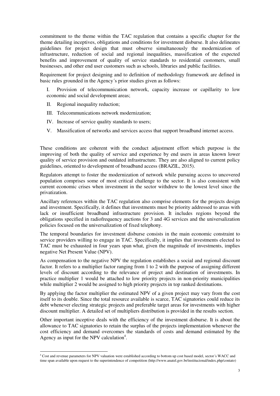commitment to the theme within the TAC regulation that contains a specific chapter for the theme detailing inceptives, obligations and conditions for investment disburse. It also delineates guidelines for project design that must observe simultaneously the modernization of infrastructure, reduction of social and regional inequalities, massification of the expected benefits and improvement of quality of service standards to residential customers, small businesses, and other end user customers such as schools, libraries and public facilities.

Requirement for project designing and to definition of methodology framework are defined in basic rules grounded in the Agency´s prior studies given as follows:

I. Provision of telecommunication network, capacity increase or capillarity to low economic and social development areas;

II. Regional inequality reduction;

 $\overline{a}$ 

- III. Telecommunications network modernization;
- IV. Increase of service quality standards to users;
- V. Massification of networks and services access that support broadband internet access.

These conditions are coherent with the conduct adjustment effort which purpose is the improving of both the quality of service and experience by end users in areas known lower quality of service provision and outdated infrastructure. They are also aligned to current policy guidelines, oriented to development of broadband access (BRAZIL, 2015).

Regulators attempt to foster the modernization of network while pursuing access to uncovered population comprises some of most critical challenge to the sector. It is also consistent with current economic crises when investment in the sector withdrew to the lowest level since the privatization.

Ancillary references within the TAC regulation also comprise elements for the projects design and investment. Specifically, it defines that investments must be priority addressed to areas with lack or insufficient broadband infrastructure provision. It includes regions beyond the obligations specified in radiofrequency auctions for 3 and 4G services and the universalization policies focused on the universalization of fixed telephony.

The temporal boundaries for investment disburse consists in the main economic constraint to service providers willing to engage in TAC. Specifically, it implies that investments elected to TAC must be exhausted in four years span what, given the magnitude of investments, implies negative Net Present Value (NPV).

As compensation to the negative NPV the regulation establishes a social and regional discount factor. It refers to a multiplier factor ranging from 1 to 2 with the purpose of assigning different levels of discount according to the relevance of project and destination of investments. In practice multiplier 1 would be attached to low priority projects in non-priority municipalities while multiplier 2 would be assigned to high priority projects in top ranked destinations.

By applying the factor multiplier the estimated NPV of a given project may vary from the cost itself to its double. Since the total resource available is scarce, TAC signatories could reduce its debt whenever electing strategic projects and preferable target areas for investments with higher discount multiplier. A detailed set of multipliers distribution is provided in the results section.

Other important inceptive deals with the efficiency of the investment disburse. It is about the allowance to TAC signatories to retain the surplus of the projects implementation whenever the cost efficiency and demand overcomes the standards of costs and demand estimated by the Agency as input for the NPV calculation<sup>4</sup>.

<sup>4</sup> Cost and revenue parameters for NPV valuation were established according to bottom up cost based model, sector´s WACC and time span available upon request to the superintendence of competition (http://www.anatel.gov.br/institucional/index.php/contato)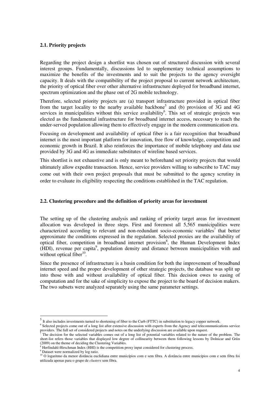### **2.1. Priority projects**

Regarding the project design a shortlist was chosen out of structured discussion with several interest groups. Fundamentally, discussions led to supplementary technical assumptions to maximize the benefits of the investments and to suit the projects to the agency oversight capacity. It deals with the compatibility of the project proposal to current network architecture, the priority of optical fiber over other alternative infrastructure deployed for broadband internet, spectrum optimization and the phase out of 2G mobile technology.

Therefore, selected priority projects are (a) transport infrastructure provided in optical fiber from the target locality to the nearby available backbone<sup>5</sup> and (b) provision of  $\overline{3}G$  and  $4G$ services in municipalities without this service availability<sup>6</sup>. This set of strategic projects was elected as the fundamental infrastructure for broadband internet access, necessary to reach the under-served population allowing them to effectively engage in the modern communication era.

Focusing on development and availability of optical fiber is a fair recognition that broadband internet is the most important platform for innovation, free flow of knowledge, competition and economic growth in Brazil. It also reinforces the importance of mobile telephony and data use provided by 3G and 4G as immediate substitutes of wireline based services.

This shortlist is not exhaustive and is only meant to beforehand set priority projects that would ultimately allow expedite transaction. Hence, service providers willing to subscribe to TAC may come out with their own project proposals that must be submitted to the agency scrutiny in order to evaluate its eligibility respecting the conditions established in the TAC regulation.

### **2.2. Clustering procedure and the definition of priority areas for investment**

The setting up of the clustering analysis and ranking of priority target areas for investment allocation was developed in three steps. First and foremost all 5,565 municipalities were characterized according to relevant and non-redundant socio-economic variables<sup>7</sup> that better approximate the conditions expressed in the regulation. Selected proxies are the availability of optical fiber, competition in broadband internet provision<sup>8</sup>, the Human Development Index (HDI), revenue per capita<sup>9</sup>, population density and distance between municipalities with and without optical fiber $10$ .

Since the presence of infrastructure is a basin condition for both the improvement of broadband internet speed and the proper development of other strategic projects, the database was split up into those with and without availability of optical fiber. This decision owes to easing of computation and for the sake of simplicity to expose the project to the board of decision makers. The two subsets were analyzed separately using the same parameter settings.

<sup>&</sup>lt;sup>5</sup> It also includes investments turned to shortening of fiber to the Curb (FTTC) in substitution to legacy copper network.

<sup>&</sup>lt;sup>6</sup> Selected projects come out of a long list after extensive discussion with experts from the Agency and telecommunications service providers. The full set of considered projects and notes on the underlying discussion are available upon request.<br><sup>7</sup> The decision for the selected veriphles comes out of a long list of notatiel veriphles related to the na

The decision for the selected variables comes out of a long list of potential variables related to the nature of the problem. The short-list refers those variables that displayed low degree of collinearity between them following lessons by Dolnicar and Grün (2009) on the theme of deciding the Clustering Variables.

<sup>&</sup>lt;sup>8</sup> Herfindahl-Hirschman Index (HHI) is the competition proxy input considered for clustering process.

<sup>&</sup>lt;sup>9</sup> Dataset were normalized by log ratio.

<sup>&</sup>lt;sup>10</sup> O logaritmo da menor distância euclidiana entre municípios com e sem fibra. A distância entre municípios com e sem fibra foi utilizada apenas para o grupo de *clusters* sem fibra.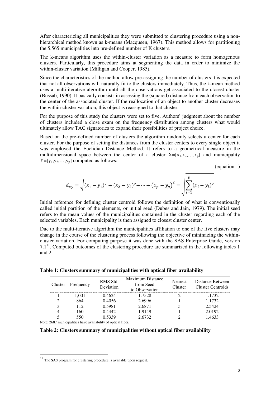After characterizing all municipalities they were submitted to clustering procedure using a nonhierarchical method known as k-means (Macqueen, 1967). This method allows for partitioning the 5,565 municipalities into pre-defined number of K clusters.

The k-means algorithm uses the within-cluster variation as a measure to form homogenous clusters. Particularly, this procedure aims at segmenting the data in order to minimize the within-cluster variation (Milligan and Cooper, 1985).

Since the characteristics of the method allow pre-assigning the number of clusters it is expected that not all observations will naturally fit to the clusters immediately. Thus, the k-mean method uses a multi-iterative algorithm until all the observations get associated to the closest cluster (Bussab, 1990). It basically consists in assessing the (squared) distance from each observation to the center of the associated cluster. If the reallocation of an object to another cluster decreases the within-cluster variation, this object is reassigned to that cluster.

For the purpose of this study the clusters were set to five. Authors' judgment about the number of clusters included a close exam on the frequency distribution among clusters what would ultimately allow TAC signatories to expand their possibilities of project choice.

Based on the pre-defined number of clusters the algorithm randomly selects a center for each cluster. For the purpose of setting the distances from the cluster centers to every single object it was employed the Euclidian Distance Method. It refers to a geometrical measure in the multidimensional space between the center of a cluster  $X=[x_1,x_2,...,x_p]$  and municipality  $Y=[y_1,y_2,...,y_p]$  computed as follows:

(equation 1)

$$
d_{xy} = \sqrt{(x_1 - y_1)^2 + (x_2 - y_2)^2 + \dots + (x_p - y_p)^2} = \sqrt{\sum_{i=1}^p (x_i - y_i)^2}
$$

Initial reference for defining cluster centroid follows the definition of what is conventionally called initial partition of the elements, or initial seed (Dubes and Jain, 1979). The initial seed refers to the mean values of the municipalities contained in the cluster regarding each of the selected variables. Each municipality is then assigned to closest cluster center.

Due to the multi-iterative algorithm the municipalities affiliation to one of the five clusters may change in the course of the clustering process following the objective of minimizing the withincluster variation. For computing purpose it was done with the SAS Enterprise Guide, version  $7.1<sup>11</sup>$ . Computed outcomes of the clustering procedure are summarized in the following tables 1 and 2.

| Cluster | Frequency | RMS Std.<br>Deviation | <b>Maximum Distance</b><br>from Seed<br>to Observation | Nearest<br><b>Cluster</b> | Distance Between<br>Cluster Centroids |
|---------|-----------|-----------------------|--------------------------------------------------------|---------------------------|---------------------------------------|
|         | 1.001     | 0.4624                | 1.7528                                                 |                           | 1.1732                                |
|         | 864       | 0.4056                | 2.6996                                                 |                           | 1.1732                                |
|         | 112       | 0.5981                | 2.6871                                                 |                           | 2.5424                                |
|         | 160       | 0.4442                | 1.9149                                                 |                           | 2.0192                                |
|         | 550       | 0 5339                | 2.6732                                                 |                           | 1.4633                                |

**Table 1: Clusters summary of municipalities with optical fiber availability** 

Note: 2687 municipalities have availability of optical fiber.

**Table 2: Clusters summary of municipalities without optical fiber availability**

 $11$  The SAS program for clustering procedure is available upon request.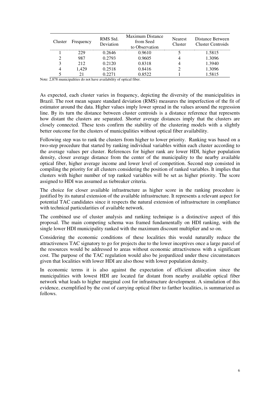| Cluster | Frequency | RMS Std.<br>Deviation | Maximum Distance<br>from Seed<br>to Observation | <b>Nearest</b><br>Cluster | Distance Between<br>Cluster Centroids |
|---------|-----------|-----------------------|-------------------------------------------------|---------------------------|---------------------------------------|
|         | 229       | 0.2646                | 0.9610                                          |                           | 1.5815                                |
|         | 987       | 0.2793                | 0.9605                                          |                           | 1.3096                                |
|         | 212       | 0.2120                | 0.8318                                          |                           | 1.3940                                |
|         | .429      | 0.2518                | 0.8416                                          |                           | 1.3096                                |
|         |           |                       | 0.8522.                                         |                           | 1.5815                                |

Note: 2,878 municipalities do not have availability of optical fiber.

As expected, each cluster varies in frequency, depicting the diversity of the municipalities in Brazil. The root mean square standard deviation (RMS) measures the imperfection of the fit of estimator around the data. Higher values imply lower spread in the values around the regression line. By its turn the distance between cluster centroids is a distance reference that represents how distant the clusters are separated. Shorter average distances imply that the clusters are closely connected. These tests confirm the stability of the clustering models with a slightly better outcome for the clusters of municipalities without optical fiber availability.

Following step was to rank the clusters from higher to lower priority. Ranking was based on a two-step procedure that started by ranking individual variables within each cluster according to the average values per cluster. References for higher rank are lower HDI, higher population density, closer average distance from the center of the municipality to the nearby available optical fiber, higher average income and lower level of competition. Second step consisted in compiling the priority for all clusters considering the position of ranked variables. It implies that clusters with higher number of top ranked variables will be set as higher priority. The score assigned to HDI was assumed as tiebreaker criteria.

The choice for closer available infrastructure as higher score in the ranking procedure is justified by its natural extension of the available infrastructure. It represents a relevant aspect for potential TAC candidates since it respects the natural extension of infrastructure in compliance with technical particularities of available network.

The combined use of cluster analysis and ranking technique is a distinctive aspect of this proposal. The main competing schema was framed fundamentally on HDI ranking, with the single lower HDI municipality ranked with the maximum discount multiplier and so on.

Considering the economic conditions of these localities this would naturally reduce the attractiveness TAC signatory to go for projects due to the lower inceptives once a large parcel of the resources would be addressed to areas without economic attractiveness with a significant cost. The purpose of the TAC regulation would also be jeopardized under these circumstances given that localities with lower HDI are also those with lower population density.

In economic terms it is also against the expectation of efficient allocation since the municipalities with lowest HDI are located far distant from nearby available optical fiber network what leads to higher marginal cost for infrastructure development. A simulation of this evidence, exemplified by the cost of carrying optical fiber to farther localities, is summarized as follows.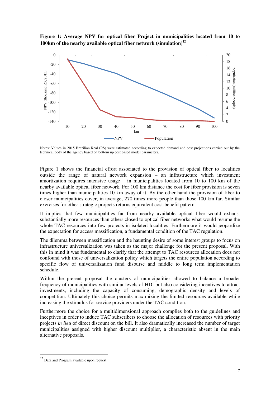**Figure 1: Average NPV for optical fiber Project in municipalities located from 10 to 100km of the nearby available optical fiber network (simulation)<sup>12</sup>**



Notes: Values in 2015 Brazilian Real (R\$) were estimated according to expected demand and cost projections carried out by the technical body of the agency based on bottom up cost based model parameters.

Figure 1 shows the financial effort associated to the provision of optical fiber to localities outside the range of natural network expansion – an infrastructure which investment amortization requires intensive usage  $-$  in municipalities located from 10 to 100 km of the nearby available optical fiber network. For 100 km distance the cost for fiber provision is seven times higher than municipalities 10 km away of it. By the other hand the provision of fiber to closer municipalities cover, in average, 270 times more people than those 100 km far. Similar exercises for other strategic projects returns equivalent cost-benefit pattern.

It implies that few municipalities far from nearby available optical fiber would exhaust substantially more resources than others closed to optical fiber networks what would resume the whole TAC resources into few projects in isolated localities. Furthermore it would jeopardize the expectation for access massification, a fundamental condition of the TAC regulation.

The dilemma between massification and the haunting desire of some interest groups to focus on infrastructure universalization was taken as the major challenge for the present proposal. With this in mind it was fundamental to clarify that the attempt to TAC resources allocation does not confound with those of universalization policy which targets the entire population according to specific flow of universalization fund disburse and middle to long term implementation schedule.

Within the present proposal the clusters of municipalities allowed to balance a broader frequency of municipalities with similar levels of HDI but also considering incentives to attract investments, including the capacity of consuming, demographic density and levels of competition. Ultimately this choice permits maximizing the limited resources available while increasing the stimulus for service providers under the TAC condition.

Furthermore the choice for a multidimensional approach complies both to the guidelines and inceptives in order to induce TAC subscribers to choose the allocation of resources with priority projects *in lieu* of direct discount on the bill. It also dramatically increased the number of target municipalities assigned with higher discount multiplier, a characteristic absent in the main alternative proposals.

<sup>&</sup>lt;sup>12</sup> Data and Program available upon request.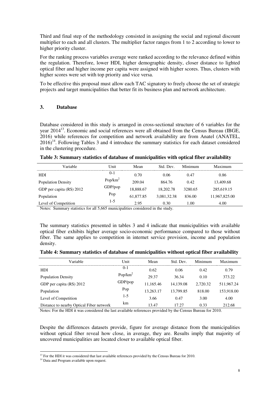Third and final step of the methodology consisted in assigning the social and regional discount multiplier to each and all clusters. The multiplier factor ranges from 1 to 2 according to lower to higher priority cluster.

For the ranking process variables average were ranked according to the relevance defined within the regulation. Therefore, lower HDI, higher demographic density, closer distance to lighted optical fiber and higher income per capita were assigned with higher scores. Thus, clusters with higher scores were set with top priority and vice versa.

To be effective this proposal must allow each TAC signatory to freely choose the set of strategic projects and target municipalities that better fit its business plan and network architecture.

## **3. Database**

Database considered in this study is arranged in cross-sectional structure of 6 variables for the year 2014<sup>13</sup>. Economic and social references were all obtained from the Census Bureau (IBGE, 2016) while references for competition and network availability are from Anatel (ANATEL,  $2016$ <sup>14</sup>. Following Tables 3 and 4 introduce the summary statistics for each dataset considered in the clustering procedure.

| Table 3: Summary statistics of database of municipalities with optical fiber availability |  |  |  |
|-------------------------------------------------------------------------------------------|--|--|--|
|                                                                                           |  |  |  |

| Variable-                 | Unit        | Mean      | Std. Dev.   | Minimum | Maximum       |
|---------------------------|-------------|-----------|-------------|---------|---------------|
| <b>HDI</b>                | $0 - 1$     | 0.70      | 0.06        | 0.47    | 0.86          |
| <b>Population Density</b> | Pop/ $km^2$ | 209.04    | 864.76      | 0.42    | 13,409.68     |
| GDP per capita (R\$) 2012 | $GDP$ /pop  | 18,888.67 | 18,202.78   | 3280.65 | 285,619.15    |
| Population                | Pop         | 61.877.85 | 3.081.32.38 | 836.00  | 11,967,825.00 |
| Level of Competition      | $1-5$       | 2.95      | 0.30        | 1.00    | 4.00          |

Notes: Summary statistics for all 5,665 municipalities considered in the study.

The summary statistics presented in tables 3 and 4 indicate that municipalities with available optical fiber exhibits higher average socio-economic performance compared to those without fiber. The same applies to competition in internet service provision, income and population density.

|  |  |  |  | Table 4: Summary statistics of database of municipalities without optical fiber availability |
|--|--|--|--|----------------------------------------------------------------------------------------------|
|  |  |  |  |                                                                                              |

| Variable                                 | Unit        | Mean      | Std. Dev. | Minimum  | Maximum    |
|------------------------------------------|-------------|-----------|-----------|----------|------------|
| <b>HDI</b>                               | $0-1$       | 0.62      | 0.06      | 0.42     | 0.79       |
| <b>Population Density</b>                | Pop/ $km^2$ | 29.37     | 36.34     | 0.10     | 373.22     |
| GDP per capita (R\$) 2012                | GDP/pop     | 11,165.46 | 14.139.08 | 2.720.32 | 511,967.24 |
| Population                               | Pop         | 13,263.17 | 13.799.85 | 818.00   | 153,918.00 |
| Level of Competition                     | $1-5$       | 3.66      | 0.47      | 3.00     | 4.00       |
| Distance to nearby Optical Fiber network | km          | 13.47     | 17.27     | 0.33     | 212.68     |

Notes: For the HDI it was considered the last available references provided by the Census Bureau for 2010.

Despite the differences datasets provide, figure for average distance from the municipalities without optical fiber reveal how close, in average, they are. Results imply that majority of uncovered municipalities are located closer to available optical fiber.

<sup>&</sup>lt;sup>13</sup> For the HDI it was considered that last available references provided by the Census Bureau for 2010.

<sup>&</sup>lt;sup>14</sup> Data and Program available upon request.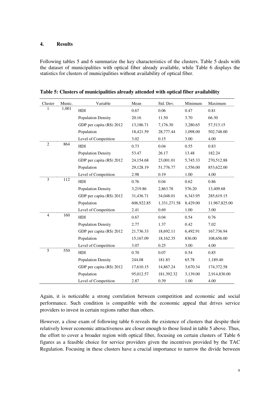### **4. Results**

Following tables 5 and 6 summarize the key characteristics of the clusters. Table 5 deals with the dataset of municipalities with optical fiber already available, while Table 6 displays the statistics for clusters of municipalities without availability of optical fiber.

| Cluster        | Munic. | Variable                  | Mean       | Std. Dev.    | Minimum  | Maximum       |
|----------------|--------|---------------------------|------------|--------------|----------|---------------|
| 1              | 1,001  | HDI                       | 0.67       | 0.06         | 0.47     | 0.81          |
|                |        | <b>Population Density</b> | 20.16      | 11.50        | 3.70     | 66.30         |
|                |        | GDP per capita (R\$) 2012 | 13,186.71  | 7,176.30     | 3,280.65 | 57, 513. 15   |
|                |        | Population                | 18,421.59  | 28,777.44    | 1,098.00 | 502,748.00    |
|                |        | Level of Competition      | 3.02       | 0.15         | 3.00     | 4.00          |
| $\mathbf{2}$   | 864    | HDI                       | 0.73       | 0.04         | 0.55     | 0.83          |
|                |        | <b>Population Density</b> | 53.47      | 26.17        | 13.48    | 182.24        |
|                |        | GDP per capita (R\$) 2012 | 24,154.68  | 23,001.01    | 5,745.33 | 270,512.88    |
|                |        | Population                | 29,128.19  | 51,776.77    | 1,556.00 | 853,622.00    |
|                |        | Level of Competition      | 2.98       | 0.19         | 1.00     | 4.00          |
| 3              | 112    | HDI                       | 0.76       | 0.04         | 0.62     | 0.86          |
|                |        | <b>Population Density</b> | 3,219.86   | 2,863.78     | 576.20   | 13,409.68     |
|                |        | GDP per capita (R\$) 2012 | 31,436.71  | 34,048.01    | 6,343.95 | 285,619.15    |
|                |        | Population                | 606,922.85 | 1,331,271.58 | 8,429.00 | 11,967,825.00 |
|                |        | Level of Competition      | 2.41       | 0.69         | $1.00\,$ | 3.00          |
| $\overline{4}$ | 160    | HDI                       | 0.67       | 0.04         | 0.54     | 0.76          |
|                |        | <b>Population Density</b> | 2.77       | 1.37         | 0.42     | 7.02          |
|                |        | GDP per capita (R\$) 2012 | 21,736.33  | 18,692.11    | 6,492.91 | 167,736.94    |
|                |        | Population                | 15,167.09  | 18,162.35    | 836.00   | 108,656.00    |
|                |        | Level of Competition      | 3.07       | 0.25         | 3.00     | 4.00          |
| 5              | 550    | HDI                       | 0.70       | 0.07         | 0.54     | 0.85          |
|                |        | <b>Population Density</b> | 244.08     | 181.83       | 65.78    | 1,189.40      |
|                |        | GDP per capita (R\$) 2012 | 17,610.15  | 14,867.24    | 3,670.34 | 174,372.58    |
|                |        | Population                | 95,012.57  | 181,392.32   | 3,139.00 | 2,914,830.00  |
|                |        | Level of Competition      | 2.87       | 0.39         | 1.00     | 4.00          |

**Table 5: Clusters of municipalities already attended with optical fiber availability** 

Again, it is noticeable a strong correlation between competition and economic and social performance. Such condition is compatible with the economic appeal that drives service providers to invest in certain regions rather than others.

However, a close exam of following table 6 reveals the existence of clusters that despite their relatively lower economic attractiveness are closer enough to those listed in table 5 above. Thus, the effort to cover a broader region with optical fiber, focusing on certain clusters of Table 6 figures as a feasible choice for service providers given the incentives provided by the TAC Regulation. Focusing in these clusters have a crucial importance to narrow the divide between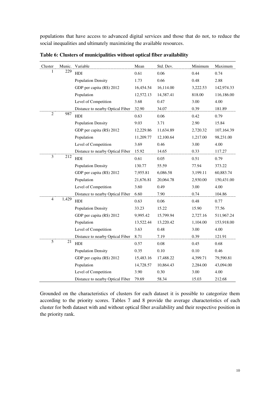populations that have access to advanced digital services and those that do not, to reduce the social inequalities and ultimately maximizing the available resources.

| Cluster        | Munic. | Variable                                | Mean      | Std. Dev. | Minimum  | Maximum    |
|----------------|--------|-----------------------------------------|-----------|-----------|----------|------------|
| 1              | 229    | HDI                                     | 0.61      | 0.06      | 0.44     | 0.74       |
|                |        | <b>Population Density</b>               | 1.73      | 0.66      | 0.48     | 2.88       |
|                |        | GDP per capita (R\$) 2012               | 16,454.54 | 16,114.00 | 3,222.53 | 142,974.33 |
|                |        | Population                              | 12,572.13 | 14,387.41 | 818.00   | 116,186.00 |
|                |        | Level of Competition                    | 3.68      | 0.47      | 3.00     | 4.00       |
|                |        | Distance to nearby Optical Fiber        | 32.90     | 34.07     | 0.39     | 181.89     |
| $\overline{2}$ | 987    | HDI                                     | 0.63      | 0.06      | 0.42     | 0.79       |
|                |        | <b>Population Density</b>               | 9.03      | 3.71      | 2.90     | 15.84      |
|                |        | GDP per capita (R\$) 2012               | 12,229.86 | 11,634.89 | 2,720.32 | 107,164.39 |
|                |        | Population                              | 11,209.77 | 12,100.64 | 1,217.00 | 98,231.00  |
|                |        | Level of Competition                    | 3.69      | 0.46      | 3.00     | 4.00       |
|                |        | Distance to nearby Optical Fiber        | 15.92     | 14.65     | 0.33     | 117.27     |
| 3              | 212    | <b>HDI</b>                              | 0.61      | 0.05      | 0.51     | 0.79       |
|                |        | <b>Population Density</b>               | 130.77    | 55.59     | 77.94    | 373.22     |
|                |        | GDP per capita (R\$) 2012               | 7,955.81  | 6,086.58  | 3,199.11 | 60,883.74  |
|                |        | Population                              | 21,676.81 | 20,064.78 | 2,930.00 | 150,431.00 |
|                |        | Level of Competition                    | 3.60      | 0.49      | 3.00     | 4.00       |
|                |        | Distance to nearby Optical Fiber        | 6.60      | 7.90      | 0.74     | 104.86     |
| $\overline{4}$ | 1,429  | HDI                                     | 0.63      | 0.06      | 0.48     | 0.77       |
|                |        | <b>Population Density</b>               | 33.23     | 15.22     | 15.90    | 77.56      |
|                |        | GDP per capita (R\$) 2012               | 9,995.42  | 15,799.94 | 2,727.16 | 511,967.24 |
|                |        | Population                              | 13,522.44 | 13,220.42 | 1,104.00 | 153,918.00 |
|                |        | Level of Competition                    | 3.63      | 0.48      | 3.00     | 4.00       |
|                |        | <b>Distance to nearby Optical Fiber</b> | 8.71      | 7.19      | 0.39     | 121.91     |
| $\overline{5}$ | 21     | HDI                                     | 0.57      | 0.08      | 0.45     | 0.68       |
|                |        | <b>Population Density</b>               | 0.35      | 0.10      | 0.10     | 0.46       |
|                |        | GDP per capita (R\$) 2012               | 15,483.16 | 17,488.22 | 4,399.71 | 79,590.81  |
|                |        | Population                              | 14,728.57 | 10,864.43 | 2,284.00 | 43,094.00  |
|                |        | Level of Competition                    | 3.90      | 0.30      | 3.00     | 4.00       |
|                |        | Distance to nearby Optical Fiber        | 79.69     | 58.34     | 15.03    | 212.68     |

**Table 6: Clusters of municipalities without optical fiber availability** 

Grounded on the characteristics of clusters for each dataset it is possible to categorize them according to the priority scores. Tables 7 and 8 provide the average characteristics of each cluster for both dataset with and without optical fiber availability and their respective position in the priority rank.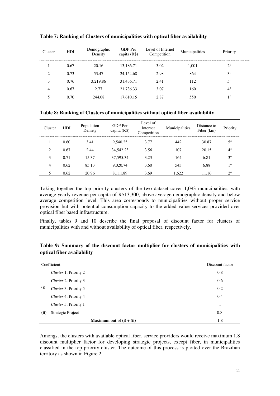| Cluster | <b>HDI</b> | Demographic<br>Density | GDP Per<br>capita (R\$) | Level of Internet<br>Competition | Municipalities | Priority    |
|---------|------------|------------------------|-------------------------|----------------------------------|----------------|-------------|
|         | 0.67       | 20.16                  | 13,186.71               | 3.02                             | 1,001          | $2^{\circ}$ |
| 2       | 0.73       | 53.47                  | 24,154.68               | 2.98                             | 864            | $3^{\circ}$ |
| 3       | 0.76       | 3.219.86               | 31.436.71               | 2.41                             | 112            | $5^{\circ}$ |
| 4       | 0.67       | 2.77                   | 21,736.33               | 3.07                             | 160            | $4^\circ$   |
|         | 0.70       | 244.08                 | 17,610.15               | 2.87                             | 550            | $1^{\circ}$ |

**Table 7: Ranking of Clusters of municipalities with optical fiber availability** 

| Cluster | <b>HDI</b> | Population<br>Density | GDP Per<br>capita $(R$)$ | Level of<br>Internet<br>Competition | Municipalities | Distance to<br>Fiber (km) | Priority    |
|---------|------------|-----------------------|--------------------------|-------------------------------------|----------------|---------------------------|-------------|
|         | 0.60       | 3.41                  | 9.540.25                 | 3.77                                | 442            | 30.87                     | 5°          |
|         | 0.67       | 2.44                  | 34,542.23                | 3.56                                | 107            | 20.15                     | $4^\circ$   |
| 3       | 0.71       | 15.37                 | 37,595.34                | 3.23                                | 164            | 6.81                      | $3^{\circ}$ |
| 4       | 0.62       | 85.13                 | 9,020.74                 | 3.60                                | 543            | 6.88                      | 10          |
|         | 0.62       | 20.96                 | 8.111.89                 | 3.69                                | 1,622          | 11.16                     | $2^{\circ}$ |

Taking together the top priority clusters of the two dataset cover 1,093 municipalities, with average yearly revenue per capita of R\$13,300, above average demographic density and below average competition level. This area corresponds to municipalities without proper service provision but with potential consumption capacity to the added value services provided over optical fiber based infrastructure.

Finally, tables 9 and 10 describe the final proposal of discount factor for clusters of municipalities with and without availability of optical fiber, respectively.

|      | Coefficient                  | Discount factor |
|------|------------------------------|-----------------|
|      | <i>Cluster</i> 1: Priority 2 | 0.8             |
|      | Cluster 2: Priority 3        | 0.6             |
| (i)  | Cluster 3: Priority 5        | 0.2             |
|      | <i>Cluster</i> 4: Priority 4 | 0.4             |
|      | Cluster 5: Priority 1        |                 |
| (ii) | Strategic Project            |                 |
|      | Maximum out of $(i) + (ii)$  | 1.8             |

**Table 9: Summary of the discount factor multiplier for clusters of municipalities with optical fiber availability** 

Amongst the clusters with available optical fiber, service providers would receive maximum 1.8 discount multiplier factor for developing strategic projects, except fiber, in municipalities classified in the top priority cluster. The outcome of this process is plotted over the Brazilian territory as shown in Figure 2.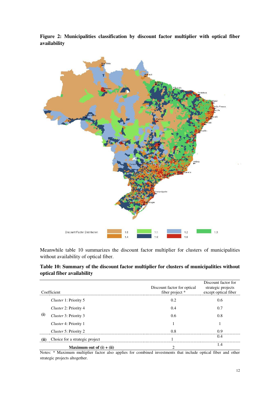**Figure 2: Municipalities classification by discount factor multiplier with optical fiber availability** 



Meanwhile table 10 summarizes the discount factor multiplier for clusters of municipalities without availability of optical fiber.

**Table 10: Summary of the discount factor multiplier for clusters of municipalities without optical fiber availability** 

| Coefficient |                                | Discount factor for optical<br>fiber project * | Discount factor for<br>strategic projects<br>except optical fiber |
|-------------|--------------------------------|------------------------------------------------|-------------------------------------------------------------------|
|             | <i>Cluster</i> 1: Priority 5   | 0.2                                            | 0.6                                                               |
| (i)         | <i>Cluster</i> 2: Priority 4   | 0.4                                            | 0.7                                                               |
|             | Cluster 3: Priority 3          | 0.6                                            | 0.8                                                               |
|             | <i>Cluster</i> 4: Priority 1   |                                                |                                                                   |
|             | <i>Cluster</i> 5: Priority 2   |                                                | n a                                                               |
|             | Choice for a strategic project |                                                | (0.4)                                                             |
|             | Maximum out of $(i) + (ii)$    |                                                | 1.4                                                               |

Notes: \* Maximum multiplier factor also applies for combined investments that include optical fiber and other strategic projects altogether.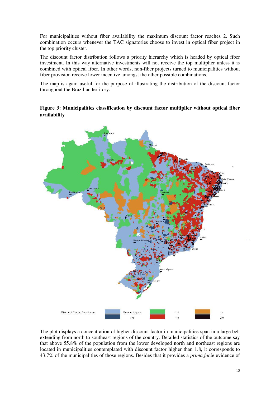For municipalities without fiber availability the maximum discount factor reaches 2. Such combination occurs whenever the TAC signatories choose to invest in optical fiber project in the top priority cluster.

The discount factor distribution follows a priority hierarchy which is headed by optical fiber investment. In this way alternative investments will not receive the top multiplier unless it is combined with optical fiber. In other words, non-fiber projects turned to municipalities without fiber provision receive lower incentive amongst the other possible combinations.

The map is again useful for the purpose of illustrating the distribution of the discount factor throughout the Brazilian territory.

# **Figure 3: Municipalities classification by discount factor multiplier without optical fiber availability**



The plot displays a concentration of higher discount factor in municipalities span in a large belt extending from north to southeast regions of the country. Detailed statistics of the outcome say that above 55.8% of the population from the lower developed north and northeast regions are located in municipalities contemplated with discount factor higher than 1.8, it corresponds to 43.7% of the municipalities of those regions. Besides that it provides a *prima facie* evidence of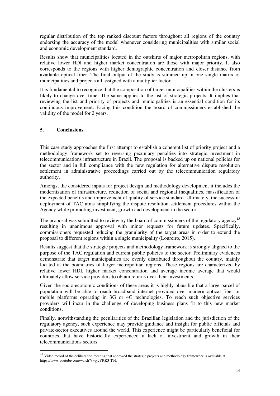regular distribution of the top ranked discount factors throughout all regions of the country endorsing the accuracy of the model whenever considering municipalities with similar social and economic development standard.

Results show that municipalities located in the outskirts of major metropolitan regions, with relative lower HDI and higher market concentration are those with major priority. It also corresponds to the regions with higher demographic concentration and closer distance from available optical fiber. The final output of the study is summed up in one single matrix of municipalities and projects all assigned with a multiplier factor.

It is fundamental to recognize that the composition of target municipalities within the clusters is likely to change over time. The same applies to the list of strategic projects. It implies that reviewing the list and priority of projects and municipalities is an essential condition for its continuous improvement. Facing this condition the board of commissioners established the validity of the model for 2 years.

## **5. Conclusions**

 $\overline{a}$ 

This case study approaches the first attempt to establish a coherent list of priority project and a methodology framework set to reversing pecuniary penalties into strategic investment in telecommunications infrastructure in Brazil. The proposal is backed up on national policies for the sector and in full compliance with the new regulation for alternative dispute resolution settlement in administrative proceedings carried out by the telecommunication regulatory authority.

Amongst the considered inputs for project design and methodology development it includes the modernization of infrastructure, reduction of social and regional inequalities, massification of the expected benefits and improvement of quality of service standard. Ultimately, the successful deployment of TAC aims simplifying the dispute resolution settlement procedures within the Agency while promoting investment, growth and development in the sector.

The proposal was submitted to review by the board of commissioners of the regulatory agency<sup>15</sup> resulting in unanimous approval with minor requests for future updates. Specifically, commissioners requested reducing the granularity of the target areas in order to extend the proposal to different regions within a single municipality (Loureiro, 2015).

Results suggest that the strategic projects and methodology framework is strongly aligned to the purpose of the TAC regulation and current public policies to the sector. Preliminary evidences demonstrate that target municipalities are evenly distributed throughout the country, mainly located at the boundaries of larger metropolitan regions. These regions are characterized by relative lower HDI, higher market concentration and average income average that would ultimately allow service providers to obtain returns over their investments.

Given the socio-economic conditions of these areas it is highly plausible that a large parcel of population will be able to reach broadband internet provided over modern optical fiber or mobile platforms operating in 3G or 4G technologies. To reach such objective services providers will incur in the challenge of developing business plans fit to this new market conditions.

Finally, notwithstanding the peculiarities of the Brazilian legislation and the jurisdiction of the regulatory agency, such experience may provide guidance and insight for public officials and private-sector executives around the world. This experience might be particularly beneficial for countries that have historically experienced a lack of investment and growth in their telecommunications sectors.

<sup>&</sup>lt;sup>15</sup> Video record of the deliberation meeting that approved the strategic projects and methodology framework is available at: https://www.youtube.com/watch?v=pjcYRK3-TbU